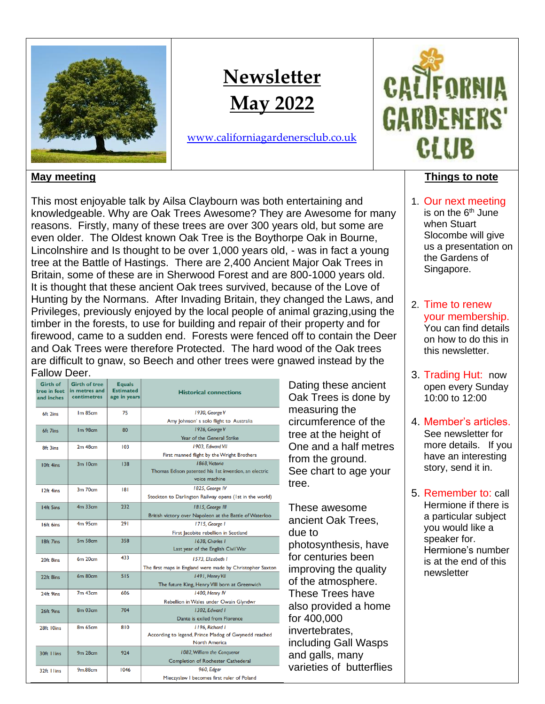

# **Newsletter May 2022**

[www.californiagardenersclub.co.uk](http://www.californiagardenersclub.co.uk/)



# **May meeting**

This most enjoyable talk by Ailsa Claybourn was both entertaining and knowledgeable. Why are Oak Trees Awesome? They are Awesome for many reasons. Firstly, many of these trees are over 300 years old, but some are even older. The Oldest known Oak Tree is the Boythorpe Oak in Bourne, Lincolnshire and Is thought to be over 1,000 years old, - was in fact a young tree at the Battle of Hastings. There are 2,400 Ancient Major Oak Trees in Britain, some of these are in Sherwood Forest and are 800-1000 years old. It is thought that these ancient Oak trees survived, because of the Love of Hunting by the Normans. After Invading Britain, they changed the Laws, and Privileges, previously enjoyed by the local people of animal grazing,using the timber in the forests, to use for building and repair of their property and for firewood, came to a sudden end. Forests were fenced off to contain the Deer and Oak Trees were therefore Protected. The hard wood of the Oak trees are difficult to gnaw, so Beech and other trees were gnawed instead by the Fallow Deer.

| <b>Girth of</b><br>tree in feet<br>and inches | <b>Girth of tree</b><br>in metres and<br>centimetres | <b>Equals</b><br><b>Estimated</b><br>age in years | <b>Historical connections</b>                             |  |
|-----------------------------------------------|------------------------------------------------------|---------------------------------------------------|-----------------------------------------------------------|--|
| 6ft 2ins                                      | Im85cm                                               | 75                                                | 1930, George V                                            |  |
|                                               |                                                      |                                                   | Amy Johnson's solo flight to Australia                    |  |
| 6ft 7ins                                      | Im <sub>98cm</sub>                                   | 80                                                | 1926, George V                                            |  |
|                                               |                                                      |                                                   | Year of the General Strike                                |  |
| 8ft 3ins                                      | $2m$ 48 $cm$                                         | 103                                               | 1903. Edward VII                                          |  |
|                                               |                                                      |                                                   | First manned flight by the Wright Brothers                |  |
| 10ft 4ins                                     | $3m$ $10cm$                                          | 138                                               | I 868, Victoria                                           |  |
|                                               |                                                      |                                                   | Thomas Edison patented his 1st invention, an electric     |  |
|                                               |                                                      |                                                   | voice machine                                             |  |
| 12ft 4ins                                     | 3m 70cm                                              | 181                                               | 1825, George IV                                           |  |
|                                               |                                                      |                                                   | Stockton to Darlington Railway opens (1st in the world)   |  |
| 14ft 5ins                                     | $4m$ 33 $cm$                                         | 232                                               | 1815, George III                                          |  |
|                                               |                                                      |                                                   | British victory over Napoleon at the Battle of Waterloo   |  |
| 16ft 6ins                                     | $4m$ 95 $cm$                                         | 291                                               | 1715, George 1                                            |  |
|                                               |                                                      |                                                   | First Jacobite rebellion in Scotland                      |  |
| 18ft 7ins                                     | <b>5m 58cm</b>                                       | 358                                               | 1638. Charles 1                                           |  |
|                                               |                                                      |                                                   | Last year of the English Civil War                        |  |
| 20ft 8ins                                     | 6m 20cm                                              | 433                                               | 1573, Elizabeth I                                         |  |
|                                               |                                                      |                                                   | The first maps in England were made by Christopher Saxton |  |
| 22ft 8ins                                     | 6m 80cm                                              | 515                                               | 1491, Henry VII                                           |  |
|                                               |                                                      |                                                   | The future King, Henry VIII born at Greenwich             |  |
| 24ft 9ins                                     | $7m$ 43 $cm$                                         | 606                                               | 1400, Henry IV                                            |  |
|                                               |                                                      |                                                   | Rebellion in Wales under Owain Glyndwr                    |  |
| 26ft 9ins                                     | 8 <sub>m</sub> 03 <sub>cm</sub>                      | 704                                               | 1302. Edward 1                                            |  |
|                                               |                                                      |                                                   | Dante is exiled from Florence                             |  |
| 28ft 10ins                                    | 8 <sub>m</sub> 65 <sub>cm</sub>                      | 810                                               | 1196. Richard 1                                           |  |
|                                               |                                                      |                                                   | According to legend, Prince Madog of Gwynedd reached      |  |
|                                               |                                                      |                                                   | <b>North America</b>                                      |  |
| 30ft I lins                                   | 9 <sub>m</sub> 28 <sub>cm</sub>                      | 924                                               | 1082, William the Conqueror                               |  |
|                                               |                                                      |                                                   | <b>Completion of Rochester Cathederal</b>                 |  |
| 32ft I lins                                   | 9 <sub>m.88cm</sub>                                  | 1046                                              | 960, Edgar                                                |  |
|                                               |                                                      |                                                   | Mieczyslaw I becomes first ruler of Poland                |  |

Dating these ancient Oak Trees is done by measuring the circumference of the tree at the height of One and a half metres from the ground. See chart to age your tree.

These awesome ancient Oak Trees, due to photosynthesis, have for centuries been improving the quality of the atmosphere. These Trees have also provided a home for 400,000 invertebrates, including Gall Wasps and galls, many varieties of butterflies

#### **Things to note**

- 1. Our next meeting is on the 6<sup>th</sup> June when Stuart Slocombe will give us a presentation on the Gardens of Singapore.
- 2. Time to renew your membership. You can find details on how to do this in this newsletter.
- 3. Trading Hut: now open every Sunday 10:00 to 12:00
- 4. Member's articles. See newsletter for more details. If you have an interesting story, send it in.
- 5. Remember to: call Hermione if there is a particular subject you would like a speaker for. Hermione's number is at the end of this newsletter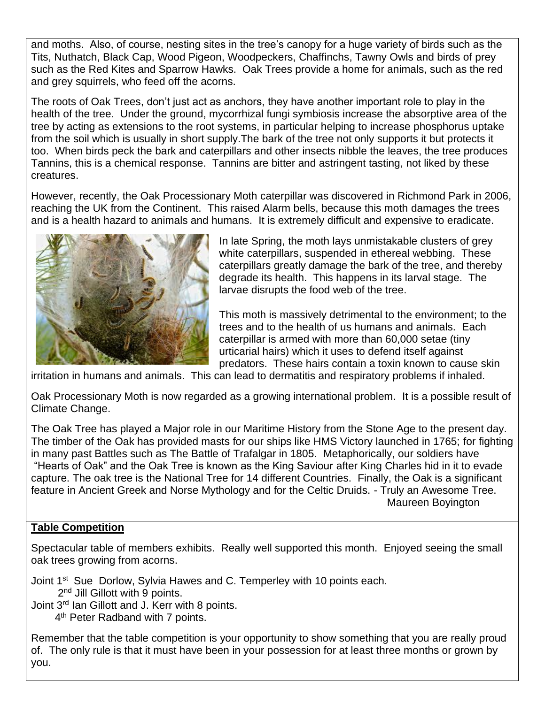and moths. Also, of course, nesting sites in the tree's canopy for a huge variety of birds such as the Tits, Nuthatch, Black Cap, Wood Pigeon, Woodpeckers, Chaffinchs, Tawny Owls and birds of prey such as the Red Kites and Sparrow Hawks. Oak Trees provide a home for animals, such as the red and grey squirrels, who feed off the acorns.

The roots of Oak Trees, don't just act as anchors, they have another important role to play in the health of the tree. Under the ground, mycorrhizal fungi symbiosis increase the absorptive area of the tree by acting as extensions to the root systems, in particular helping to increase phosphorus uptake from the soil which is usually in short supply.The bark of the tree not only supports it but protects it too. When birds peck the bark and caterpillars and other insects nibble the leaves, the tree produces Tannins, this is a chemical response. Tannins are bitter and astringent tasting, not liked by these creatures.

However, recently, the Oak Processionary Moth caterpillar was discovered in Richmond Park in 2006, reaching the UK from the Continent. This raised Alarm bells, because this moth damages the trees and is a health hazard to animals and humans. It is extremely difficult and expensive to eradicate.



In late Spring, the moth lays unmistakable clusters of grey white caterpillars, suspended in ethereal webbing. These caterpillars greatly damage the bark of the tree, and thereby degrade its health. This happens in its larval stage. The larvae disrupts the food web of the tree.

This moth is massively detrimental to the environment; to the trees and to the health of us humans and animals. Each caterpillar is armed with more than 60,000 setae (tiny urticarial hairs) which it uses to defend itself against predators. These hairs contain a toxin known to cause skin

irritation in humans and animals. This can lead to dermatitis and respiratory problems if inhaled.

Oak Processionary Moth is now regarded as a growing international problem. It is a possible result of Climate Change.

The Oak Tree has played a Major role in our Maritime History from the Stone Age to the present day. The timber of the Oak has provided masts for our ships like HMS Victory launched in 1765; for fighting in many past Battles such as The Battle of Trafalgar in 1805. Metaphorically, our soldiers have "Hearts of Oak" and the Oak Tree is known as the King Saviour after King Charles hid in it to evade capture. The oak tree is the National Tree for 14 different Countries. Finally, the Oak is a significant feature in Ancient Greek and Norse Mythology and for the Celtic Druids. - Truly an Awesome Tree. Maureen Boyington

# **Table Competition**

Spectacular table of members exhibits. Really well supported this month. Enjoyed seeing the small oak trees growing from acorns.

Joint 1<sup>st</sup> Sue Dorlow, Sylvia Hawes and C. Temperley with 10 points each.

- 2<sup>nd</sup> Jill Gillott with 9 points.
- Joint 3<sup>rd</sup> Ian Gillott and J. Kerr with 8 points.
- 4<sup>th</sup> Peter Radband with 7 points.

Remember that the table competition is your opportunity to show something that you are really proud of. The only rule is that it must have been in your possession for at least three months or grown by you.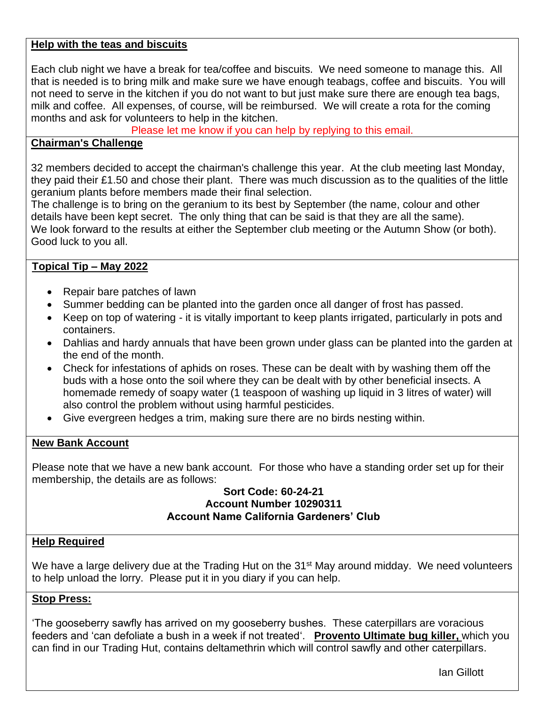#### **Help with the teas and biscuits**

Each club night we have a break for tea/coffee and biscuits. We need someone to manage this. All that is needed is to bring milk and make sure we have enough teabags, coffee and biscuits. You will not need to serve in the kitchen if you do not want to but just make sure there are enough tea bags, milk and coffee. All expenses, of course, will be reimbursed. We will create a rota for the coming months and ask for volunteers to help in the kitchen.

Please let me know if you can help by replying to this email.

#### **Chairman's Challenge**

32 members decided to accept the chairman's challenge this year. At the club meeting last Monday, they paid their £1.50 and chose their plant. There was much discussion as to the qualities of the little geranium plants before members made their final selection.

The challenge is to bring on the geranium to its best by September (the name, colour and other details have been kept secret. The only thing that can be said is that they are all the same). We look forward to the results at either the September club meeting or the Autumn Show (or both). Good luck to you all.

# **Topical Tip – May 2022**

- Repair bare patches of lawn
- Summer bedding can be planted into the garden once all danger of frost has passed.
- Keep on top of watering it is vitally important to keep plants irrigated, particularly in pots and containers.
- Dahlias and hardy annuals that have been grown under glass can be planted into the garden at the end of the month.
- Check for infestations of aphids on roses. These can be dealt with by washing them off the buds with a hose onto the soil where they can be dealt with by other beneficial insects. A homemade remedy of soapy water (1 teaspoon of washing up liquid in 3 litres of water) will also control the problem without using harmful pesticides.
- Give evergreen hedges a trim, making sure there are no birds nesting within.

#### **New Bank Account**

Please note that we have a new bank account. For those who have a standing order set up for their membership, the details are as follows:

#### **Sort Code: 60-24-21 Account Number 10290311 Account Name California Gardeners' Club**

#### **Help Required**

We have a large delivery due at the Trading Hut on the 31<sup>st</sup> May around midday. We need volunteers to help unload the lorry. Please put it in you diary if you can help.

#### **Stop Press:**

'The gooseberry sawfly has arrived on my gooseberry bushes. These caterpillars are voracious feeders and 'can defoliate a bush in a week if not treated'. **Provento Ultimate bug killer,** which you can find in our Trading Hut, contains deltamethrin which will control sawfly and other caterpillars.

Ian Gillott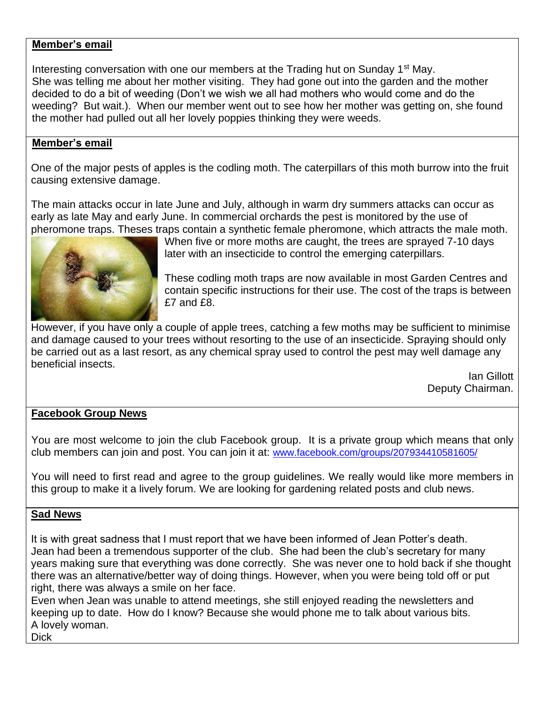#### **Member's email**

Interesting conversation with one our members at the Trading hut on Sunday 1<sup>st</sup> May. She was telling me about her mother visiting. They had gone out into the garden and the mother decided to do a bit of weeding (Don't we wish we all had mothers who would come and do the weeding? But wait.). When our member went out to see how her mother was getting on, she found the mother had pulled out all her lovely poppies thinking they were weeds.

#### **Member's email**

One of the major pests of apples is the codling moth. The caterpillars of this moth burrow into the fruit causing extensive damage.

The main attacks occur in late June and July, although in warm dry summers attacks can occur as early as late May and early June. In commercial orchards the pest is monitored by the use of pheromone traps. Theses traps contain a synthetic female pheromone, which attracts the male moth.



When five or more moths are caught, the trees are sprayed 7-10 days later with an insecticide to control the emerging caterpillars.

These codling moth traps are now available in most Garden Centres and contain specific instructions for their use. The cost of the traps is between £7 and £8.

However, if you have only a couple of apple trees, catching a few moths may be sufficient to minimise and damage caused to your trees without resorting to the use of an insecticide. Spraying should only be carried out as a last resort, as any chemical spray used to control the pest may well damage any beneficial insects.

Ian Gillott Deputy Chairman.

# **Facebook Group News**

You are most welcome to join the club Facebook group. It is a private group which means that only club members can join and post. You can join it at: [www.facebook.com/groups/207934410581605/](http://www.facebook.com/groups/207934410581605/)

You will need to first read and agree to the group guidelines. We really would like more members in this group to make it a lively forum. We are looking for gardening related posts and club news.

#### **Sad News**

It is with great sadness that I must report that we have been informed of Jean Potter's death. Jean had been a tremendous supporter of the club. She had been the club's secretary for many years making sure that everything was done correctly. She was never one to hold back if she thought there was an alternative/better way of doing things. However, when you were being told off or put right, there was always a smile on her face.

Even when Jean was unable to attend meetings, she still enjoyed reading the newsletters and keeping up to date. How do I know? Because she would phone me to talk about various bits. A lovely woman.

**Dick**